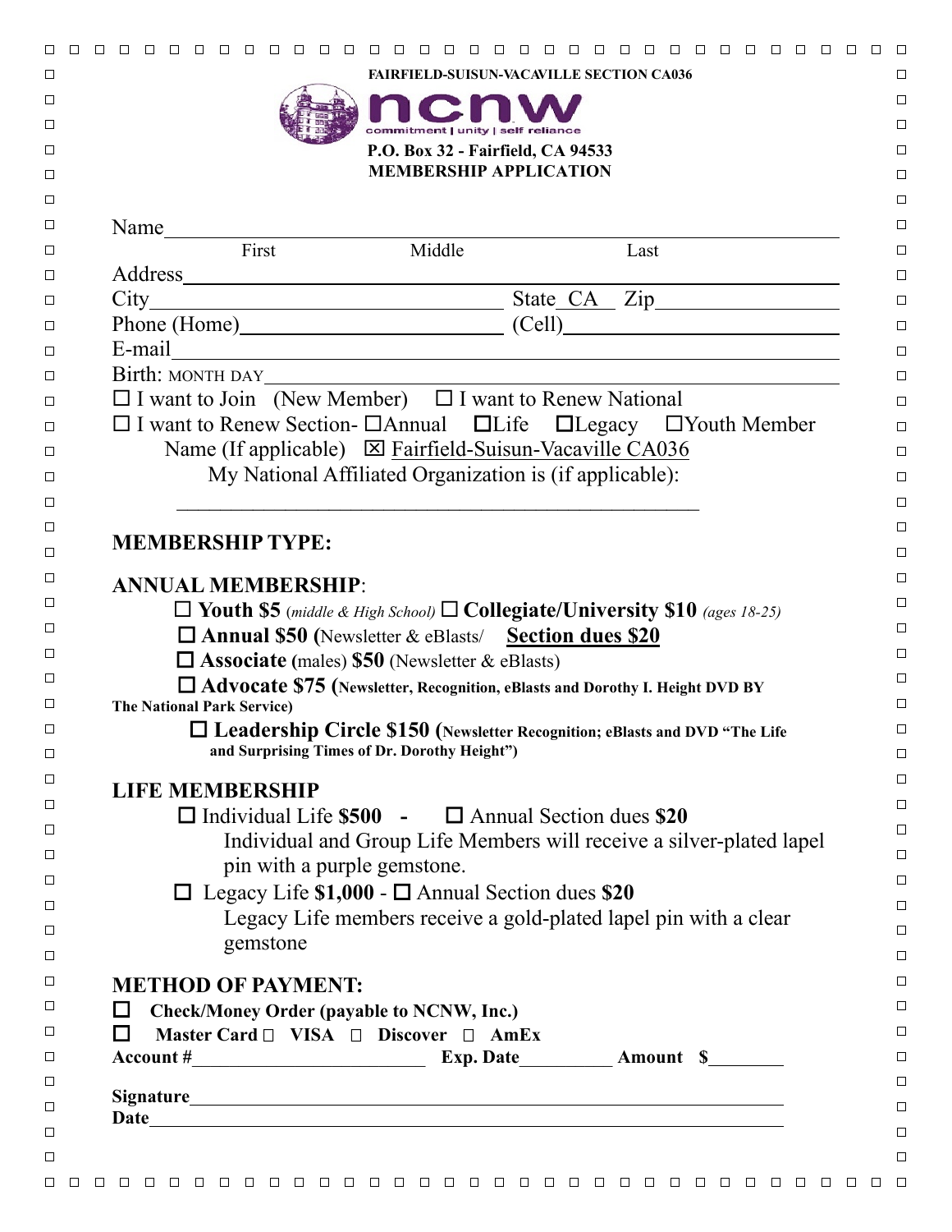|                                   |                                                                                                                                                                                                                               | $\Box$ | n n n n |  |
|-----------------------------------|-------------------------------------------------------------------------------------------------------------------------------------------------------------------------------------------------------------------------------|--------|---------|--|
|                                   | <b>FAIRFIELD-SUISUN-VACAVILLE SECTION CA036</b>                                                                                                                                                                               |        |         |  |
|                                   |                                                                                                                                                                                                                               |        |         |  |
|                                   | commitment   unity   self reliance                                                                                                                                                                                            |        |         |  |
|                                   | P.O. Box 32 - Fairfield, CA 94533<br><b>MEMBERSHIP APPLICATION</b>                                                                                                                                                            |        |         |  |
|                                   |                                                                                                                                                                                                                               |        |         |  |
|                                   |                                                                                                                                                                                                                               |        |         |  |
|                                   | $\overline{\text{First}}$<br>Middle                                                                                                                                                                                           |        |         |  |
|                                   |                                                                                                                                                                                                                               |        | Last    |  |
|                                   |                                                                                                                                                                                                                               |        |         |  |
|                                   | Address<br>City<br>Phone (Home) State CA Zip<br>Cell)                                                                                                                                                                         |        |         |  |
|                                   |                                                                                                                                                                                                                               |        |         |  |
|                                   | E-mail explorer and the set of the set of the set of the set of the set of the set of the set of the set of the set of the set of the set of the set of the set of the set of the set of the set of the set of the set of the |        |         |  |
|                                   | $\Box$ I want to Join (New Member) $\Box$ I want to Renew National                                                                                                                                                            |        |         |  |
|                                   | $\Box$ I want to Renew Section- $\Box$ Annual $\Box$ Life $\Box$ Legacy $\Box$ Youth Member                                                                                                                                   |        |         |  |
|                                   | Name (If applicable) $\boxtimes$ Fairfield-Suisun-Vacaville CA036                                                                                                                                                             |        |         |  |
|                                   | My National Affiliated Organization is (if applicable):                                                                                                                                                                       |        |         |  |
|                                   |                                                                                                                                                                                                                               |        |         |  |
|                                   |                                                                                                                                                                                                                               |        |         |  |
| <b>MEMBERSHIP TYPE:</b>           |                                                                                                                                                                                                                               |        |         |  |
|                                   |                                                                                                                                                                                                                               |        |         |  |
|                                   | <b>ANNUAL MEMBERSHIP:</b>                                                                                                                                                                                                     |        |         |  |
|                                   | $\Box$ Youth \$5 (middle & High School) $\Box$ Collegiate/University \$10 (ages 18-25)                                                                                                                                        |        |         |  |
|                                   | <b>C</b> Annual \$50 (Newsletter & eBlasts/ Section dues \$20                                                                                                                                                                 |        |         |  |
|                                   | $\Box$ Associate (males) \$50 (Newsletter & eBlasts)                                                                                                                                                                          |        |         |  |
| <b>The National Park Service)</b> | □ Advocate \$75 (Newsletter, Recognition, eBlasts and Dorothy I. Height DVD BY                                                                                                                                                |        |         |  |
|                                   | □ Leadership Circle \$150 (Newsletter Recognition; eBlasts and DVD "The Life                                                                                                                                                  |        |         |  |
|                                   | and Surprising Times of Dr. Dorothy Height")                                                                                                                                                                                  |        |         |  |
|                                   |                                                                                                                                                                                                                               |        |         |  |
| <b>LIFE MEMBERSHIP</b>            |                                                                                                                                                                                                                               |        |         |  |
|                                   | $\Box$ Individual Life \$500 - $\Box$ Annual Section dues \$20                                                                                                                                                                |        |         |  |
|                                   | Individual and Group Life Members will receive a silver-plated lapel                                                                                                                                                          |        |         |  |
|                                   | pin with a purple gemstone.                                                                                                                                                                                                   |        |         |  |
|                                   | $\Box$ Legacy Life \$1,000 - $\Box$ Annual Section dues \$20                                                                                                                                                                  |        |         |  |
|                                   | Legacy Life members receive a gold-plated lapel pin with a clear                                                                                                                                                              |        |         |  |
|                                   | gemstone                                                                                                                                                                                                                      |        |         |  |
|                                   | <b>METHOD OF PAYMENT:</b>                                                                                                                                                                                                     |        |         |  |
| ப                                 | <b>Check/Money Order (payable to NCNW, Inc.)</b>                                                                                                                                                                              |        |         |  |
| $\Box$                            | Master Card $\Box$ VISA $\Box$ Discover $\Box$ AmEx                                                                                                                                                                           |        |         |  |
|                                   |                                                                                                                                                                                                                               |        |         |  |
|                                   |                                                                                                                                                                                                                               |        |         |  |
|                                   |                                                                                                                                                                                                                               |        |         |  |
|                                   |                                                                                                                                                                                                                               |        |         |  |
|                                   |                                                                                                                                                                                                                               |        |         |  |
|                                   |                                                                                                                                                                                                                               |        |         |  |